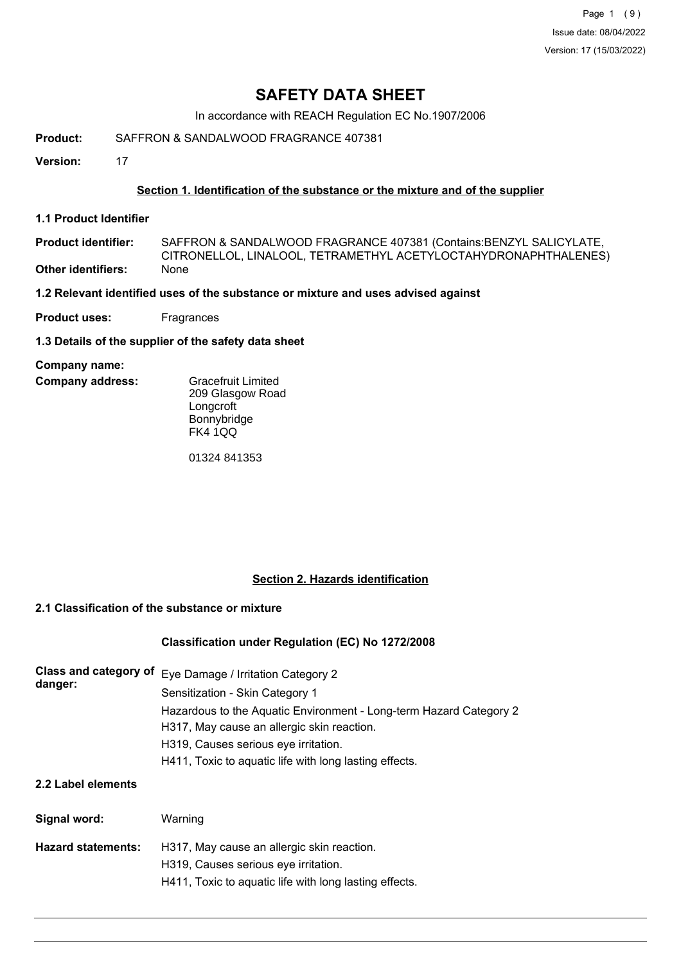Page 1 (9) Issue date: 08/04/2022 Version: 17 (15/03/2022)

# **SAFETY DATA SHEET**

In accordance with REACH Regulation EC No.1907/2006

**Product:** SAFFRON & SANDALWOOD FRAGRANCE 407381

**Version:** 17

## **Section 1. Identification of the substance or the mixture and of the supplier**

**1.1 Product Identifier**

SAFFRON & SANDALWOOD FRAGRANCE 407381 (Contains:BENZYL SALICYLATE, CITRONELLOL, LINALOOL, TETRAMETHYL ACETYLOCTAHYDRONAPHTHALENES) **Product identifier: Other identifiers:** None

**1.2 Relevant identified uses of the substance or mixture and uses advised against**

**Product uses:** Fragrances

**1.3 Details of the supplier of the safety data sheet**

#### **Company name:**

**Company address:**

Gracefruit Limited 209 Glasgow Road **Longcroft** Bonnybridge FK4 1QQ

01324 841353

### **Section 2. Hazards identification**

## **2.1 Classification of the substance or mixture**

### **Classification under Regulation (EC) No 1272/2008**

| Class and category of<br>danger: | Eye Damage / Irritation Category 2<br>Sensitization - Skin Category 1                                            |
|----------------------------------|------------------------------------------------------------------------------------------------------------------|
|                                  | Hazardous to the Aquatic Environment - Long-term Hazard Category 2<br>H317, May cause an allergic skin reaction. |
|                                  | H319, Causes serious eye irritation.                                                                             |
|                                  | H411, Toxic to aquatic life with long lasting effects.                                                           |
| 2.2 Label elements               |                                                                                                                  |
| Signal word:                     | Warning                                                                                                          |
| <b>Hazard statements:</b>        | H317, May cause an allergic skin reaction.                                                                       |
|                                  | H319, Causes serious eye irritation.                                                                             |
|                                  | H411, Toxic to aquatic life with long lasting effects.                                                           |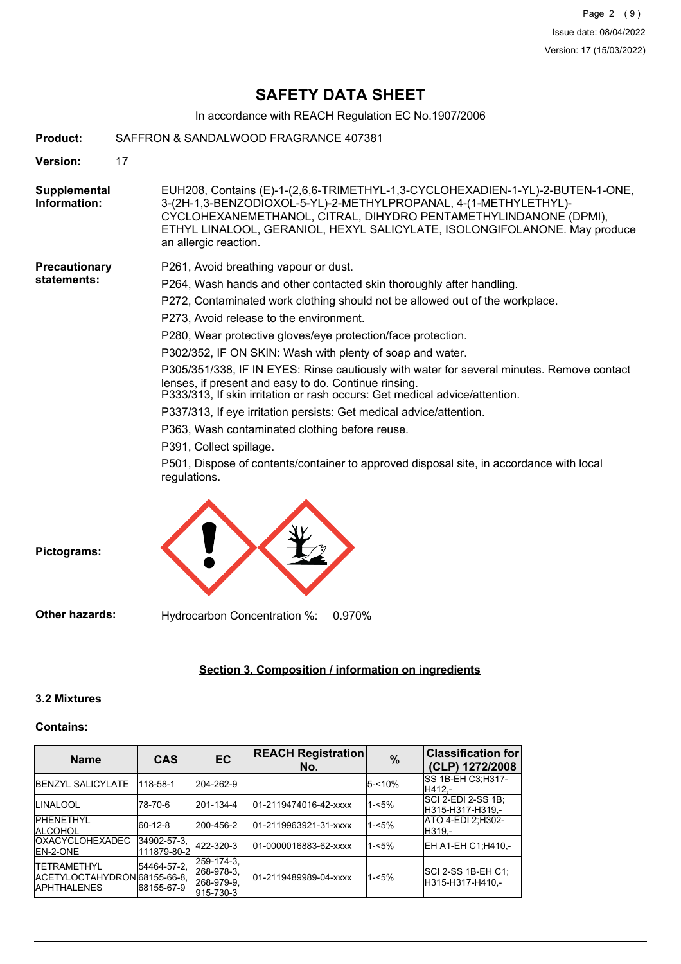# **SAFETY DATA SHEET**

In accordance with REACH Regulation EC No.1907/2006

| Product:                     | SAFFRON & SANDALWOOD FRAGRANCE 407381                                                                                                                                                                                                                                                                                        |
|------------------------------|------------------------------------------------------------------------------------------------------------------------------------------------------------------------------------------------------------------------------------------------------------------------------------------------------------------------------|
| <b>Version:</b>              | 17                                                                                                                                                                                                                                                                                                                           |
| Supplemental<br>Information: | EUH208, Contains (E)-1-(2,6,6-TRIMETHYL-1,3-CYCLOHEXADIEN-1-YL)-2-BUTEN-1-ONE,<br>3-(2H-1,3-BENZODIOXOL-5-YL)-2-METHYLPROPANAL, 4-(1-METHYLETHYL)-<br>CYCLOHEXANEMETHANOL, CITRAL, DIHYDRO PENTAMETHYLINDANONE (DPMI),<br>ETHYL LINALOOL, GERANIOL, HEXYL SALICYLATE, ISOLONGIFOLANONE. May produce<br>an allergic reaction. |
| <b>Precautionary</b>         | P261, Avoid breathing vapour or dust.                                                                                                                                                                                                                                                                                        |
| statements:                  | P264, Wash hands and other contacted skin thoroughly after handling.                                                                                                                                                                                                                                                         |
|                              | P272, Contaminated work clothing should not be allowed out of the workplace.                                                                                                                                                                                                                                                 |
|                              | P273, Avoid release to the environment.                                                                                                                                                                                                                                                                                      |
|                              | P280, Wear protective gloves/eye protection/face protection.                                                                                                                                                                                                                                                                 |
|                              | P302/352, IF ON SKIN: Wash with plenty of soap and water.                                                                                                                                                                                                                                                                    |
|                              | P305/351/338, IF IN EYES: Rinse cautiously with water for several minutes. Remove contact<br>lenses, if present and easy to do. Continue rinsing.<br>P333/313, If skin irritation or rash occurs: Get medical advice/attention.                                                                                              |
|                              | P337/313, If eye irritation persists: Get medical advice/attention.                                                                                                                                                                                                                                                          |
|                              | P363, Wash contaminated clothing before reuse.                                                                                                                                                                                                                                                                               |
|                              | P391, Collect spillage.                                                                                                                                                                                                                                                                                                      |
|                              | P501, Dispose of contents/container to approved disposal site, in accordance with local<br>regulations.                                                                                                                                                                                                                      |
| Pictograms:                  |                                                                                                                                                                                                                                                                                                                              |

**Other hazards:** Hydrocarbon Concentration %: 0.970%

## **Section 3. Composition / information on ingredients**

## **3.2 Mixtures**

### **Contains:**

| <b>Name</b>                                                                 | <b>CAS</b>                 | <b>EC</b>                                           | <b>REACH Registration</b><br>No. | $\frac{9}{6}$ | <b>Classification for</b><br>(CLP) 1272/2008 |
|-----------------------------------------------------------------------------|----------------------------|-----------------------------------------------------|----------------------------------|---------------|----------------------------------------------|
| <b>IBENZYL SALICYLATE</b>                                                   | 118-58-1                   | 204-262-9                                           |                                  | 5-<10%        | SS 1B-EH C3; H317-<br>H412 -                 |
| <b>ILINALOOL</b>                                                            | 78-70-6                    | 201-134-4                                           | 01-2119474016-42-xxxx            | $1 - 5%$      | SCI 2-EDI 2-SS 1B:<br>H315-H317-H319.-       |
| <b>IPHENETHYL</b><br><b>ALCOHOL</b>                                         | 60-12-8                    | 200-456-2                                           | 01-2119963921-31-xxxx            | $1 - 5%$      | ATO 4-EDI 2;H302-<br>H319.-                  |
| <b>OXACYCLOHEXADEC</b><br><b>IEN-2-ONE</b>                                  | 34902-57-3.<br>111879-80-2 | 422-320-3                                           | 01-0000016883-62-xxxx            | $1 - 5%$      | EH A1-EH C1;H410,-                           |
| <b>ITETRAMETHYL</b><br>IACETYLOCTAHYDRON 68155-66-8.<br><b>IAPHTHALENES</b> | 54464-57-2.<br>68155-67-9  | 259-174-3.<br>268-978-3.<br>268-979-9.<br>915-730-3 | 01-2119489989-04-xxxx            | $1 - 5%$      | SCI 2-SS 1B-EH C1;<br>H315-H317-H410.-       |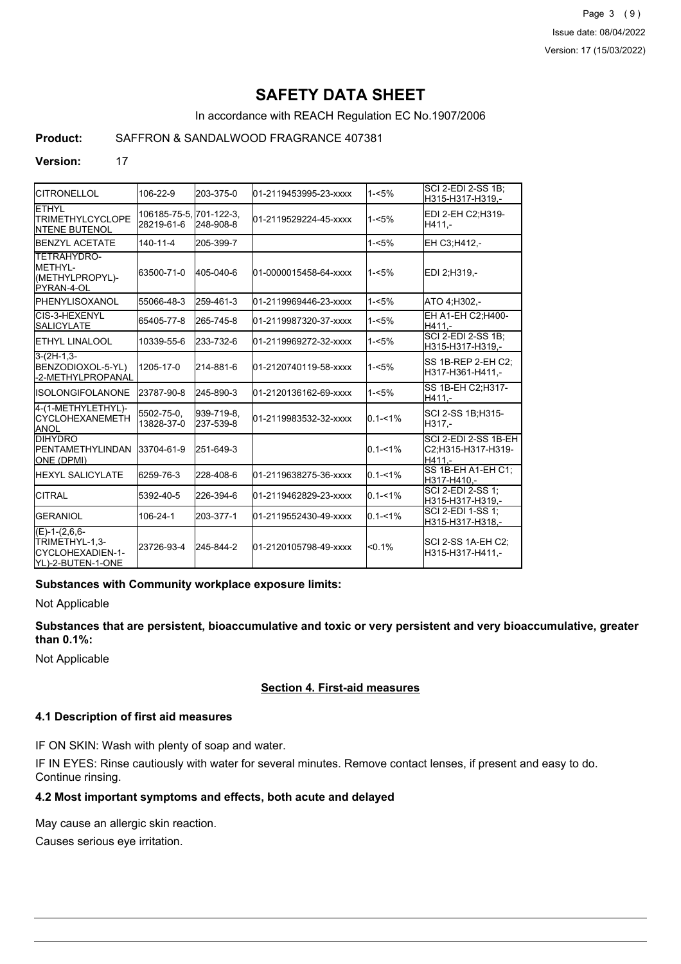Page 3 (9) Issue date: 08/04/2022 Version: 17 (15/03/2022)

# **SAFETY DATA SHEET**

In accordance with REACH Regulation EC No.1907/2006

## **Product:** SAFFRON & SANDALWOOD FRAGRANCE 407381

#### **Version:** 17

| <b>ICITRONELLOL</b>                                                          | 106-22-9                   | 203-375-0               | 01-2119453995-23-xxxx  | $1 - 5%$    | SCI 2-EDI 2-SS 1B;<br>H315-H317-H319.-               |
|------------------------------------------------------------------------------|----------------------------|-------------------------|------------------------|-------------|------------------------------------------------------|
| <b>ETHYL</b><br><b>TRIMETHYLCYCLOPE</b><br><b>INTENE BUTENOL</b>             | 106185-75-5.<br>28219-61-6 | 701-122-3,<br>248-908-8 | 01-2119529224-45-xxxx  | $1 - 5%$    | EDI 2-EH C2:H319-<br>H411.-                          |
| <b>BENZYL ACETATE</b>                                                        | $140 - 11 - 4$             | 205-399-7               |                        | $1 - 5%$    | EH C3;H412,-                                         |
| TETRAHYDRO-<br><b>IMETHYL-</b><br>(METHYLPROPYL)-<br>PYRAN-4-OL              | 63500-71-0                 | 405-040-6               | 01-0000015458-64-xxxx  | $1 - 5%$    | EDI 2:H319.-                                         |
| IPHENYLISOXANOL                                                              | 55066-48-3                 | 259-461-3               | 01-2119969446-23-xxxx  | $1 - 5%$    | ATO 4:H302.-                                         |
| CIS-3-HEXENYL<br><b>SALICYLATE</b>                                           | 65405-77-8                 | 265-745-8               | 01-2119987320-37-xxxx  | $1 - 5%$    | EH A1-EH C2; H400-<br>H411.-                         |
| <b>I</b> ETHYL LINALOOL                                                      | 10339-55-6                 | 233-732-6               | l01-2119969272-32-xxxx | $1 - 5%$    | <b>SCI 2-EDI 2-SS 1B;</b><br>H315-H317-H319,-        |
| $3-(2H-1,3-$<br>BENZODIOXOL-5-YL)<br>-2-METHYLPROPANAL                       | 1205-17-0                  | 214-881-6               | 01-2120740119-58-xxxx  | $1 - 5%$    | ISS 1B-REP 2-EH C2:<br>H317-H361-H411.-              |
| IISOLONGIFOLANONE                                                            | 23787-90-8                 | 245-890-3               | 01-2120136162-69-xxxx  | $1 - 5%$    | SS 1B-EH C2; H317-<br>H411.-                         |
| 4-(1-METHYLETHYL)-<br>ICYCLOHEXANEMETH<br><b>ANOL</b>                        | 5502-75-0.<br>13828-37-0   | 939-719-8.<br>237-539-8 | 01-2119983532-32-xxxx  | $0.1 - 1\%$ | SCI 2-SS 1B:H315-<br>H317.-                          |
| <b>DIHYDRO</b><br><b>IPENTAMETHYLINDAN</b><br>ONE (DPMI)                     | 33704-61-9                 | 251-649-3               |                        | $0.1 - 1\%$ | SCI 2-EDI 2-SS 1B-EH<br>C2:H315-H317-H319-<br>H411.- |
| <b>IHEXYL SALICYLATE</b>                                                     | 6259-76-3                  | 228-408-6               | 01-2119638275-36-xxxx  | $0.1 - 1%$  | SS 1B-EH A1-EH C1;<br>H317-H410.-                    |
| <b>CITRAL</b>                                                                | 5392-40-5                  | 226-394-6               | 01-2119462829-23-xxxx  | $0.1 - 1\%$ | SCI 2-EDI 2-SS 1:<br>H315-H317-H319,-                |
| <b>GERANIOL</b>                                                              | 106-24-1                   | 203-377-1               | 01-2119552430-49-xxxx  | $0.1 - 1\%$ | SCI 2-EDI 1-SS 1;<br>H315-H317-H318,-                |
| $(E)-1-(2,6,6-$<br>TRIMETHYL-1,3-<br>ICYCLOHEXADIEN-1-<br>IYL)-2-BUTEN-1-ONE | 23726-93-4                 | 245-844-2               | 01-2120105798-49-xxxx  | $< 0.1\%$   | SCI 2-SS 1A-EH C2;<br>H315-H317-H411.-               |

#### **Substances with Community workplace exposure limits:**

Not Applicable

## **Substances that are persistent, bioaccumulative and toxic or very persistent and very bioaccumulative, greater than 0.1%:**

Not Applicable

### **Section 4. First-aid measures**

#### **4.1 Description of first aid measures**

IF ON SKIN: Wash with plenty of soap and water.

IF IN EYES: Rinse cautiously with water for several minutes. Remove contact lenses, if present and easy to do. Continue rinsing.

## **4.2 Most important symptoms and effects, both acute and delayed**

May cause an allergic skin reaction.

Causes serious eye irritation.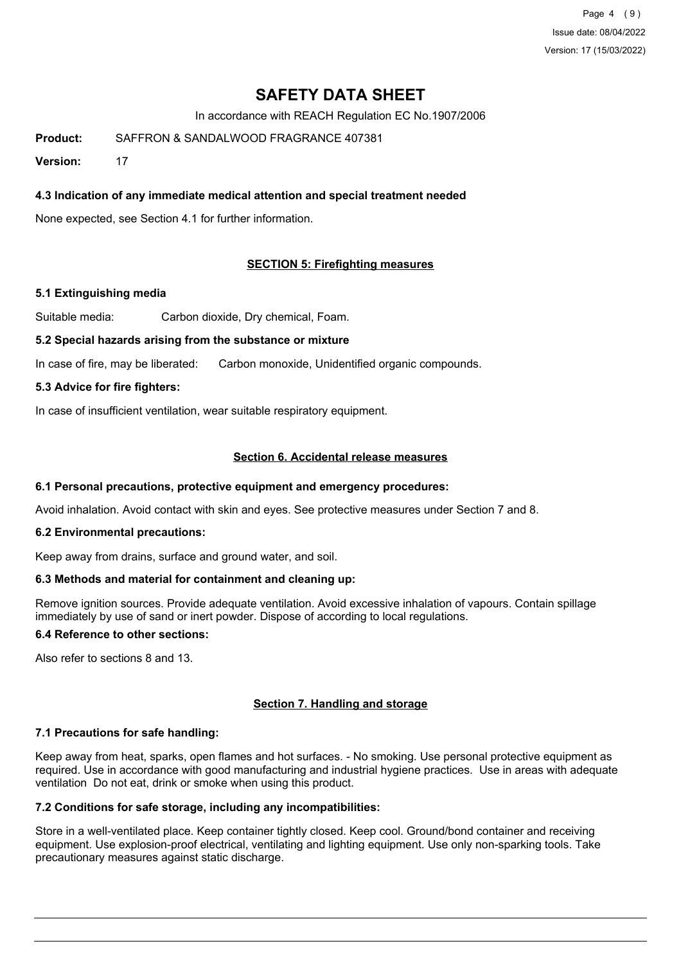Page 4 (9) Issue date: 08/04/2022 Version: 17 (15/03/2022)

# **SAFETY DATA SHEET**

In accordance with REACH Regulation EC No.1907/2006

**Product:** SAFFRON & SANDALWOOD FRAGRANCE 407381

**Version:** 17

## **4.3 Indication of any immediate medical attention and special treatment needed**

None expected, see Section 4.1 for further information.

## **SECTION 5: Firefighting measures**

### **5.1 Extinguishing media**

Suitable media: Carbon dioxide, Dry chemical, Foam.

### **5.2 Special hazards arising from the substance or mixture**

In case of fire, may be liberated: Carbon monoxide, Unidentified organic compounds.

### **5.3 Advice for fire fighters:**

In case of insufficient ventilation, wear suitable respiratory equipment.

## **Section 6. Accidental release measures**

#### **6.1 Personal precautions, protective equipment and emergency procedures:**

Avoid inhalation. Avoid contact with skin and eyes. See protective measures under Section 7 and 8.

#### **6.2 Environmental precautions:**

Keep away from drains, surface and ground water, and soil.

### **6.3 Methods and material for containment and cleaning up:**

Remove ignition sources. Provide adequate ventilation. Avoid excessive inhalation of vapours. Contain spillage immediately by use of sand or inert powder. Dispose of according to local regulations.

## **6.4 Reference to other sections:**

Also refer to sections 8 and 13.

### **Section 7. Handling and storage**

### **7.1 Precautions for safe handling:**

Keep away from heat, sparks, open flames and hot surfaces. - No smoking. Use personal protective equipment as required. Use in accordance with good manufacturing and industrial hygiene practices. Use in areas with adequate ventilation Do not eat, drink or smoke when using this product.

## **7.2 Conditions for safe storage, including any incompatibilities:**

Store in a well-ventilated place. Keep container tightly closed. Keep cool. Ground/bond container and receiving equipment. Use explosion-proof electrical, ventilating and lighting equipment. Use only non-sparking tools. Take precautionary measures against static discharge.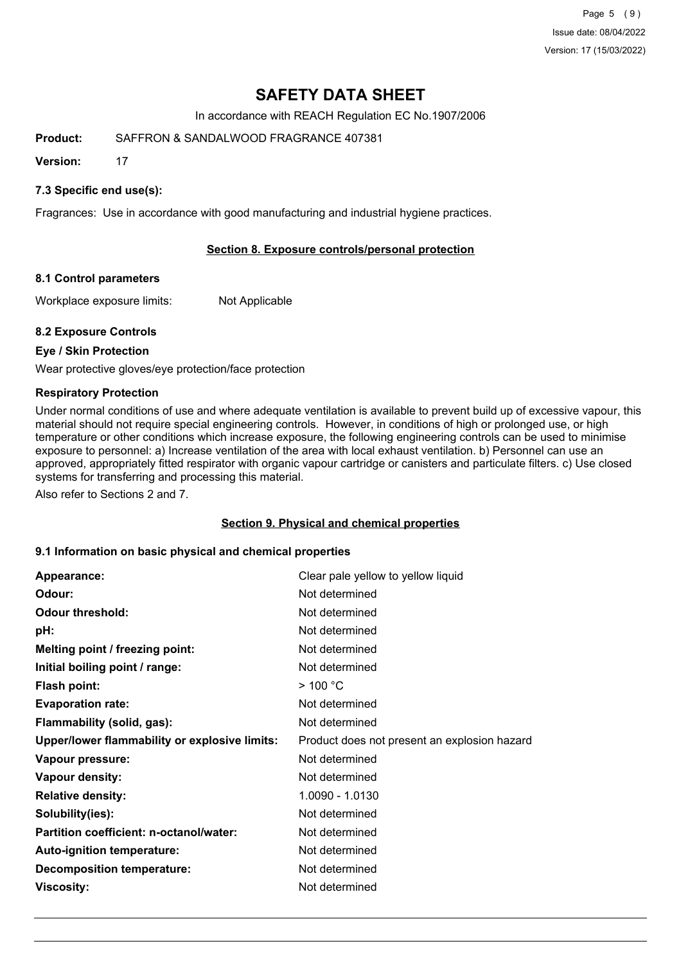Page 5 (9) Issue date: 08/04/2022 Version: 17 (15/03/2022)

# **SAFETY DATA SHEET**

In accordance with REACH Regulation EC No.1907/2006

**Product:** SAFFRON & SANDALWOOD FRAGRANCE 407381

**Version:** 17

## **7.3 Specific end use(s):**

Fragrances: Use in accordance with good manufacturing and industrial hygiene practices.

## **Section 8. Exposure controls/personal protection**

### **8.1 Control parameters**

Workplace exposure limits: Not Applicable

### **8.2 Exposure Controls**

### **Eye / Skin Protection**

Wear protective gloves/eye protection/face protection

### **Respiratory Protection**

Under normal conditions of use and where adequate ventilation is available to prevent build up of excessive vapour, this material should not require special engineering controls. However, in conditions of high or prolonged use, or high temperature or other conditions which increase exposure, the following engineering controls can be used to minimise exposure to personnel: a) Increase ventilation of the area with local exhaust ventilation. b) Personnel can use an approved, appropriately fitted respirator with organic vapour cartridge or canisters and particulate filters. c) Use closed systems for transferring and processing this material.

Also refer to Sections 2 and 7.

### **Section 9. Physical and chemical properties**

### **9.1 Information on basic physical and chemical properties**

| Appearance:                                   | Clear pale yellow to yellow liquid           |
|-----------------------------------------------|----------------------------------------------|
| Odour:                                        | Not determined                               |
| <b>Odour threshold:</b>                       | Not determined                               |
| pH:                                           | Not determined                               |
| Melting point / freezing point:               | Not determined                               |
| Initial boiling point / range:                | Not determined                               |
| <b>Flash point:</b>                           | $>$ 100 °C                                   |
| <b>Evaporation rate:</b>                      | Not determined                               |
| Flammability (solid, gas):                    | Not determined                               |
| Upper/lower flammability or explosive limits: | Product does not present an explosion hazard |
| Vapour pressure:                              | Not determined                               |
| Vapour density:                               | Not determined                               |
| <b>Relative density:</b>                      | 1.0090 - 1.0130                              |
| Solubility(ies):                              | Not determined                               |
| Partition coefficient: n-octanol/water:       | Not determined                               |
| Auto-ignition temperature:                    | Not determined                               |
| <b>Decomposition temperature:</b>             | Not determined                               |
| <b>Viscosity:</b>                             | Not determined                               |
|                                               |                                              |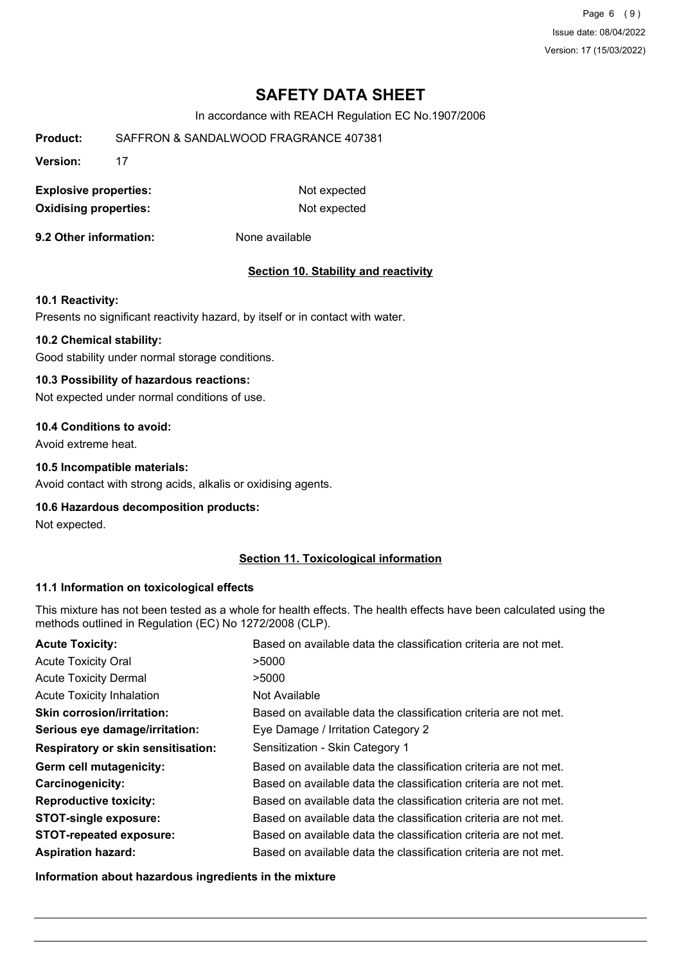Page 6 (9) Issue date: 08/04/2022 Version: 17 (15/03/2022)

# **SAFETY DATA SHEET**

In accordance with REACH Regulation EC No.1907/2006

**Product:** SAFFRON & SANDALWOOD FRAGRANCE 407381

**Version:** 17

**Explosive properties:** Not expected **Oxidising properties:** Not expected

**9.2 Other information:** None available

### **Section 10. Stability and reactivity**

#### **10.1 Reactivity:**

Presents no significant reactivity hazard, by itself or in contact with water.

#### **10.2 Chemical stability:**

Good stability under normal storage conditions.

#### **10.3 Possibility of hazardous reactions:**

Not expected under normal conditions of use.

#### **10.4 Conditions to avoid:**

Avoid extreme heat.

#### **10.5 Incompatible materials:**

Avoid contact with strong acids, alkalis or oxidising agents.

#### **10.6 Hazardous decomposition products:**

Not expected.

### **Section 11. Toxicological information**

#### **11.1 Information on toxicological effects**

This mixture has not been tested as a whole for health effects. The health effects have been calculated using the methods outlined in Regulation (EC) No 1272/2008 (CLP).

| <b>Acute Toxicity:</b>                    | Based on available data the classification criteria are not met. |
|-------------------------------------------|------------------------------------------------------------------|
| <b>Acute Toxicity Oral</b>                | >5000                                                            |
| <b>Acute Toxicity Dermal</b>              | >5000                                                            |
| <b>Acute Toxicity Inhalation</b>          | Not Available                                                    |
| <b>Skin corrosion/irritation:</b>         | Based on available data the classification criteria are not met. |
| Serious eye damage/irritation:            | Eye Damage / Irritation Category 2                               |
| <b>Respiratory or skin sensitisation:</b> | Sensitization - Skin Category 1                                  |
| Germ cell mutagenicity:                   | Based on available data the classification criteria are not met. |
| <b>Carcinogenicity:</b>                   | Based on available data the classification criteria are not met. |
| <b>Reproductive toxicity:</b>             | Based on available data the classification criteria are not met. |
| <b>STOT-single exposure:</b>              | Based on available data the classification criteria are not met. |
| <b>STOT-repeated exposure:</b>            | Based on available data the classification criteria are not met. |
| <b>Aspiration hazard:</b>                 | Based on available data the classification criteria are not met. |

**Information about hazardous ingredients in the mixture**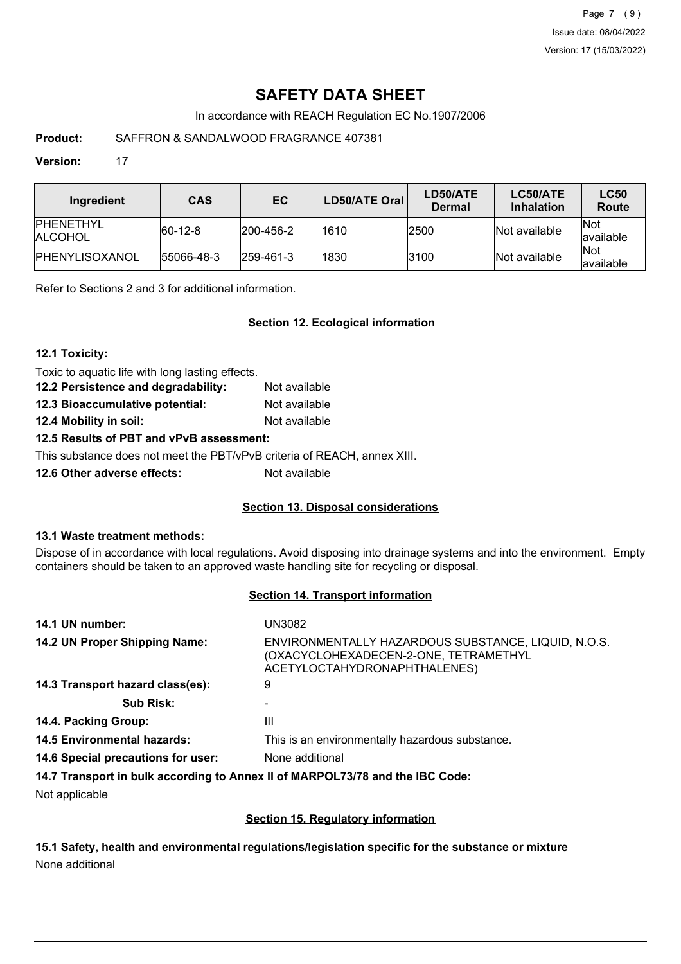Page 7 (9) Issue date: 08/04/2022 Version: 17 (15/03/2022)

# **SAFETY DATA SHEET**

In accordance with REACH Regulation EC No.1907/2006

# **Product:** SAFFRON & SANDALWOOD FRAGRANCE 407381

### **Version:** 17

| Ingredient                           | <b>CAS</b>  | EC                | <b>LD50/ATE Oral</b> | LD50/ATE<br>Dermal | LC50/ATE<br><b>Inhalation</b> | <b>LC50</b><br>Route     |
|--------------------------------------|-------------|-------------------|----------------------|--------------------|-------------------------------|--------------------------|
| <b>IPHENETHYL</b><br><b>IALCOHOL</b> | $ 60-12-8 $ | 200-456-2         | 1610                 | 2500               | Not available                 | <b>Not</b><br>lavailable |
| IPHENYLISOXANOL                      | 55066-48-3  | $ 259 - 461 - 3 $ | 1830                 | 3100               | Not available                 | <b>Not</b><br>lavailable |

Refer to Sections 2 and 3 for additional information.

## **Section 12. Ecological information**

### **12.1 Toxicity:**

Toxic to aquatic life with long lasting effects.

| 12.2 Persistence and degradability: | Not available |
|-------------------------------------|---------------|
| 12.3 Bioaccumulative potential:     | Not available |
| 12.4 Mobility in soil:              | Not available |

# **12.5 Results of PBT and vPvB assessment:**

This substance does not meet the PBT/vPvB criteria of REACH, annex XIII.

**12.6 Other adverse effects:** Not available

## **Section 13. Disposal considerations**

### **13.1 Waste treatment methods:**

Dispose of in accordance with local regulations. Avoid disposing into drainage systems and into the environment. Empty containers should be taken to an approved waste handling site for recycling or disposal.

### **Section 14. Transport information**

| 14.1 UN number:                    | UN3082                                                                                                                       |
|------------------------------------|------------------------------------------------------------------------------------------------------------------------------|
| 14.2 UN Proper Shipping Name:      | ENVIRONMENTALLY HAZARDOUS SUBSTANCE, LIQUID, N.O.S.<br>(OXACYCLOHEXADECEN-2-ONE, TETRAMETHYL<br>ACETYLOCTAHYDRONAPHTHALENES) |
| 14.3 Transport hazard class(es):   | 9                                                                                                                            |
| <b>Sub Risk:</b>                   |                                                                                                                              |
| 14.4. Packing Group:               | Ш                                                                                                                            |
| <b>14.5 Environmental hazards:</b> | This is an environmentally hazardous substance.                                                                              |
| 14.6 Special precautions for user: | None additional                                                                                                              |
|                                    | 14.7 Transport in bulk according to Annex II of MARPOL73/78 and the IBC Code:                                                |

Not applicable

## **Section 15. Regulatory information**

**15.1 Safety, health and environmental regulations/legislation specific for the substance or mixture** None additional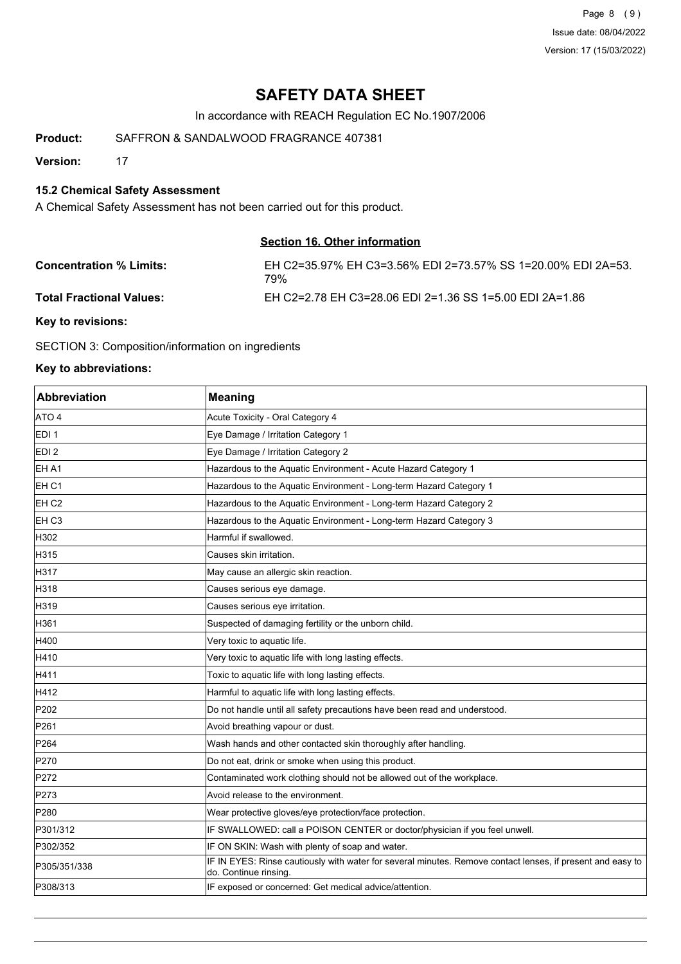Page 8 (9) Issue date: 08/04/2022 Version: 17 (15/03/2022)

# **SAFETY DATA SHEET**

In accordance with REACH Regulation EC No.1907/2006

**Product:** SAFFRON & SANDALWOOD FRAGRANCE 407381

**Version:** 17

## **15.2 Chemical Safety Assessment**

A Chemical Safety Assessment has not been carried out for this product.

### **Section 16. Other information**

| <b>Concentration % Limits:</b> | EH C2=35.97% EH C3=3.56% EDI 2=73.57% SS 1=20.00% EDI 2A=53.<br>79% |
|--------------------------------|---------------------------------------------------------------------|
| Total Fractional Values:       | EH C2=2.78 EH C3=28.06 EDI 2=1.36 SS 1=5.00 EDI 2A=1.86             |

**Key to revisions:**

SECTION 3: Composition/information on ingredients

### **Key to abbreviations:**

| Abbreviation     | <b>Meaning</b>                                                                                                                      |
|------------------|-------------------------------------------------------------------------------------------------------------------------------------|
| ATO 4            | Acute Toxicity - Oral Category 4                                                                                                    |
| EDI 1            | Eye Damage / Irritation Category 1                                                                                                  |
| EDI <sub>2</sub> | Eye Damage / Irritation Category 2                                                                                                  |
| EH A1            | Hazardous to the Aquatic Environment - Acute Hazard Category 1                                                                      |
| EH C1            | Hazardous to the Aquatic Environment - Long-term Hazard Category 1                                                                  |
| EH <sub>C2</sub> | Hazardous to the Aquatic Environment - Long-term Hazard Category 2                                                                  |
| EH C3            | Hazardous to the Aquatic Environment - Long-term Hazard Category 3                                                                  |
| H302             | Harmful if swallowed.                                                                                                               |
| H315             | Causes skin irritation.                                                                                                             |
| H317             | May cause an allergic skin reaction.                                                                                                |
| H318             | Causes serious eye damage.                                                                                                          |
| H319             | Causes serious eye irritation.                                                                                                      |
| H361             | Suspected of damaging fertility or the unborn child.                                                                                |
| H400             | Very toxic to aquatic life.                                                                                                         |
| H410             | Very toxic to aquatic life with long lasting effects.                                                                               |
| H411             | Toxic to aquatic life with long lasting effects.                                                                                    |
| H412             | Harmful to aquatic life with long lasting effects.                                                                                  |
| P202             | Do not handle until all safety precautions have been read and understood.                                                           |
| P261             | Avoid breathing vapour or dust.                                                                                                     |
| P <sub>264</sub> | Wash hands and other contacted skin thoroughly after handling.                                                                      |
| P270             | Do not eat, drink or smoke when using this product.                                                                                 |
| P272             | Contaminated work clothing should not be allowed out of the workplace.                                                              |
| P273             | Avoid release to the environment.                                                                                                   |
| P280             | Wear protective gloves/eye protection/face protection.                                                                              |
| P301/312         | IF SWALLOWED: call a POISON CENTER or doctor/physician if you feel unwell.                                                          |
| P302/352         | IF ON SKIN: Wash with plenty of soap and water.                                                                                     |
| P305/351/338     | IF IN EYES: Rinse cautiously with water for several minutes. Remove contact lenses, if present and easy to<br>do. Continue rinsing. |
| P308/313         | IF exposed or concerned: Get medical advice/attention.                                                                              |